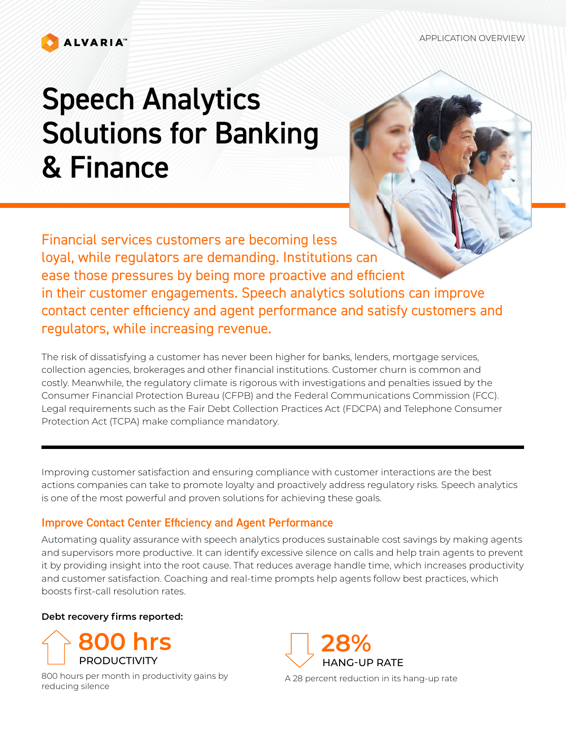

# Speech Analytics Solutions for Banking & Finance

Financial services customers are becoming less loyal, while regulators are demanding. Institutions can ease those pressures by being more proactive and efficient in their customer engagements. Speech analytics solutions can improve contact center efficiency and agent performance and satisfy customers and regulators, while increasing revenue.

The risk of dissatisfying a customer has never been higher for banks, lenders, mortgage services, collection agencies, brokerages and other financial institutions. Customer churn is common and costly. Meanwhile, the regulatory climate is rigorous with investigations and penalties issued by the Consumer Financial Protection Bureau (CFPB) and the Federal Communications Commission (FCC). Legal requirements such as the Fair Debt Collection Practices Act (FDCPA) and Telephone Consumer Protection Act (TCPA) make compliance mandatory.

Improving customer satisfaction and ensuring compliance with customer interactions are the best actions companies can take to promote loyalty and proactively address regulatory risks. Speech analytics is one of the most powerful and proven solutions for achieving these goals.

### Improve Contact Center Efficiency and Agent Performance

Automating quality assurance with speech analytics produces sustainable cost savings by making agents and supervisors more productive. It can identify excessive silence on calls and help train agents to prevent it by providing insight into the root cause. That reduces average handle time, which increases productivity and customer satisfaction. Coaching and real-time prompts help agents follow best practices, which boosts first-call resolution rates.

**Debt recovery firms reported:**



800 hours per month in productivity gains by reducing silence

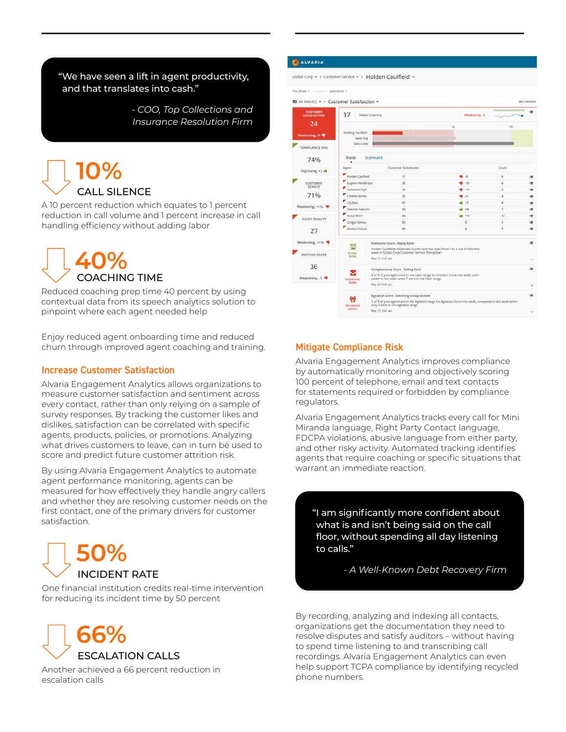### "We have seen a lift in agent productivity, and that translates into cash."

*- COO, Top Collections and Insurance Resolution Firm*

# CALL SILENCE **10%**

A 10 percent reduction which equates to 1 percent reduction in call volume and 1 percent increase in call handling efficiency without adding labor

# COACHING TIME **40%**

Reduced coaching prep time 40 percent by using contextual data from its speech analytics solution to pinpoint where each agent needed help

Enjoy reduced agent onboarding time and reduced churn through improved agent coaching and training.

### Increase Customer Satisfaction

Alvaria Engagement Analytics allows organizations to measure customer satisfaction and sentiment across every contact, rather than only relying on a sample of survey responses. By tracking the customer likes and dislikes, satisfaction can be correlated with specific agents, products, policies, or promotions. Analyzing what drives customers to leave, can in turn be used to score and predict future customer attrition risk.

By using Alvaria Engagement Analytics to automate agent performance monitoring, agents can be measured for how effectively they handle angry callers and whether they are resolving customer needs on the first contact, one of the primary drivers for customer satisfaction.

# INCIDENT RATE **50%**

One financial institution credits real-time intervention for reducing its incident time by 50 percent



Another achieved a 66 percent reduction in escalation calls

#### ALVARIAT

Global Corp + > Customer Service + > Holden Caulfield +

| ■ All Metrics • > Customer Satisfaction •                                              |                                                                                                                                                                                                                           |           |                                                                                  |                                                                                                           |           |                | 46 Contacts   |
|----------------------------------------------------------------------------------------|---------------------------------------------------------------------------------------------------------------------------------------------------------------------------------------------------------------------------|-----------|----------------------------------------------------------------------------------|-----------------------------------------------------------------------------------------------------------|-----------|----------------|---------------|
| <b>CUSTOMER</b><br><b>SATISFACTION</b>                                                 | 17<br>Needs Coaching<br>Weakening. -9                                                                                                                                                                                     |           |                                                                                  |                                                                                                           |           |                |               |
| 24<br>Weakening, -9<br><b>COMPLIANCE RISK</b>                                          | Holding Caulfield<br>Sales Avg<br>Sales Lead                                                                                                                                                                              |           |                                                                                  | 35                                                                                                        |           | 75             |               |
| 74%                                                                                    | Rank                                                                                                                                                                                                                      | Scorecard |                                                                                  |                                                                                                           |           |                |               |
| Improving, +3 de                                                                       | Customer Satisfaction<br>Agent                                                                                                                                                                                            |           |                                                                                  | Count                                                                                                     |           |                |               |
|                                                                                        | Holden Cauifield                                                                                                                                                                                                          |           | 17                                                                               |                                                                                                           | 曝 9       | $\overline{6}$ | œ.            |
| <b>CUSTOMER</b>                                                                        | Eugene Henderson                                                                                                                                                                                                          |           | 20 <sub>2</sub>                                                                  |                                                                                                           | $-15$     | Ġ              |               |
| SERVICE                                                                                | Sebastian Flyte                                                                                                                                                                                                           |           | 29                                                                               |                                                                                                           | $\times1$ | s              | œ             |
| 71%                                                                                    | Cosimo Rondo                                                                                                                                                                                                              |           | 35                                                                               |                                                                                                           | $\sim$    | ă.             | 确             |
|                                                                                        | Lay Bar                                                                                                                                                                                                                   |           | 41                                                                               |                                                                                                           | $+7$      | A.             |               |
| Weakening, +<1s                                                                        | Stephen Maturin                                                                                                                                                                                                           |           | 44                                                                               |                                                                                                           | $4 - 9$   | y.             |               |
| AGENT OUALITY<br>27<br>Weakening, +<1s <<br><b>EMOTION SCORE</b><br>36<br>Weakening -1 | Ecout Finch                                                                                                                                                                                                               |           | 44                                                                               |                                                                                                           | $+11$     | 12             | $\mathcal{R}$ |
|                                                                                        | Cregor Samoa                                                                                                                                                                                                              |           | 55                                                                               |                                                                                                           | ö         | f.             |               |
|                                                                                        | Benita Chmura                                                                                                                                                                                                             |           | 80                                                                               |                                                                                                           | ö         | Ŧ.             | ۰             |
|                                                                                        | Politeness Score - Rising Rank<br>◚<br>Holden Caulfields Politeness Scorfe rank has risen from 7 to 4 out of 9 for this<br>week in Global-Corp Customer Service. Rising Star!<br>assaus<br><b>RANK</b><br>May 27, 3:47 am |           |                                                                                  |                                                                                                           |           |                |               |
|                                                                                        | Complioments Score - Failing Rank<br>4 of 9 of your agents are in the Calm range for Emotion Score this week, com-<br>pated to last week when 7 were in the Calm range.<br>DECEMING<br>RANK<br>May 27, 3.47 am            |           |                                                                                  |                                                                                                           |           |                | db.           |
|                                                                                        | <b>DECLINING</b>                                                                                                                                                                                                          |           | Agitation Score - Declining Group Airlines<br>only 0 were in the Agitated range. | 1 of 9 of your agents are in the Agitated range for Agitation Score this week, compated to last week when |           |                | œ.            |

### Mitigate Compliance Risk

Alvaria Engagement Analytics improves compliance by automatically monitoring and objectively scoring 100 percent of telephone, email and text contacts for statements required or forbidden by compliance regulators.

Alvaria Engagement Analytics tracks every call for Mini Miranda language, Right Party Contact language, FDCPA violations, abusive language from either party, and other risky activity. Automated tracking identifies agents that require coaching or specific situations that warrant an immediate reaction.

"I am significantly more confident about what is and isn't being said on the call floor, without spending all day listening to calls."

*- A Well-Known Debt Recovery Firm*

By recording, analyzing and indexing all contacts, organizations get the documentation they need to resolve disputes and satisfy auditors – without having to spend time listening to and transcribing call recordings. Alvaria Engagement Analytics can even help support TCPA compliance by identifying recycled phone numbers.